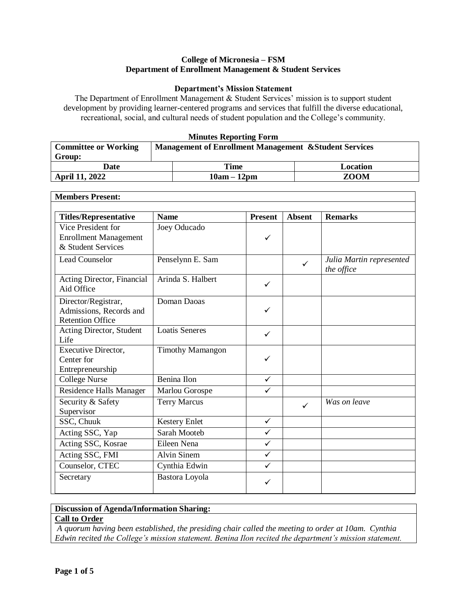#### **College of Micronesia – FSM Department of Enrollment Management & Student Services**

#### **Department's Mission Statement**

The Department of Enrollment Management & Student Services' mission is to support student development by providing learner-centered programs and services that fulfill the diverse educational, recreational, social, and cultural needs of student population and the College's community.

#### **Minutes Reporting Form**

| <b>Committee or Working</b> | <b>Management of Enrollment Management &amp; Student Services</b> |             |          |  |  |
|-----------------------------|-------------------------------------------------------------------|-------------|----------|--|--|
| Group:                      |                                                                   |             |          |  |  |
| Date                        |                                                                   | Time        | Location |  |  |
| <b>April 11, 2022</b>       |                                                                   | <b>ZOOM</b> |          |  |  |

| <b>Members Present:</b>                                                   |                         |                |               |                                        |
|---------------------------------------------------------------------------|-------------------------|----------------|---------------|----------------------------------------|
| <b>Titles/Representative</b>                                              | <b>Name</b>             | <b>Present</b> | <b>Absent</b> | <b>Remarks</b>                         |
| Vice President for<br><b>Enrollment Management</b><br>& Student Services  | Joey Oducado            | $\checkmark$   |               |                                        |
| <b>Lead Counselor</b>                                                     | Penselynn E. Sam        |                | $\checkmark$  | Julia Martin represented<br>the office |
| Acting Director, Financial<br>Aid Office                                  | Arinda S. Halbert       | ✓              |               |                                        |
| Director/Registrar,<br>Admissions, Records and<br><b>Retention Office</b> | Doman Daoas             | $\checkmark$   |               |                                        |
| Acting Director, Student<br>Life                                          | <b>Loatis Seneres</b>   | $\checkmark$   |               |                                        |
| <b>Executive Director,</b><br>Center for<br>Entrepreneurship              | <b>Timothy Mamangon</b> | $\checkmark$   |               |                                        |
| <b>College Nurse</b>                                                      | Benina Ilon             | $\checkmark$   |               |                                        |
| <b>Residence Halls Manager</b>                                            | Marlou Gorospe          | $\checkmark$   |               |                                        |
| Security & Safety<br>Supervisor                                           | <b>Terry Marcus</b>     |                | ✓             | Was on leave                           |
| SSC, Chuuk                                                                | <b>Kestery Enlet</b>    | $\checkmark$   |               |                                        |
| Acting SSC, Yap                                                           | Sarah Mooteb            | $\checkmark$   |               |                                        |
| Acting SSC, Kosrae                                                        | Eileen Nena             | $\checkmark$   |               |                                        |
| Acting SSC, FMI                                                           | <b>Alvin Sinem</b>      | $\checkmark$   |               |                                        |
| Counselor, CTEC                                                           | Cynthia Edwin           | $\checkmark$   |               |                                        |
| Secretary                                                                 | Bastora Loyola          | ✓              |               |                                        |

### **Discussion of Agenda/Information Sharing:**

# **Call to Order**

*A quorum having been established, the presiding chair called the meeting to order at 10am. Cynthia Edwin recited the College's mission statement. Benina Ilon recited the department's mission statement.*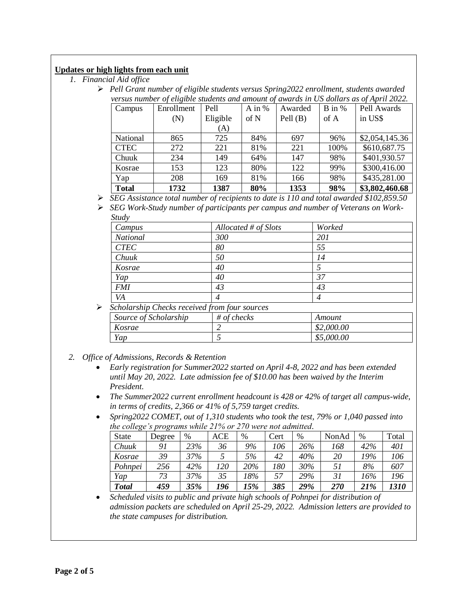## **Updates or high lights from each unit**

- *1. Financial Aid office*
	- *Pell Grant number of eligible students versus Spring2022 enrollment, students awarded versus number of eligible students and amount of awards in US dollars as of April 2022.*

| Campus       | Enrollment | Pell     | A in $%$ | Awarded    | $B$ in % | Pell Awards    |
|--------------|------------|----------|----------|------------|----------|----------------|
|              | (N)        | Eligible | of N     | Pell $(B)$ | of A     | in US\$        |
|              |            | (A)      |          |            |          |                |
| National     | 865        | 725      | 84%      | 697        | 96%      | \$2,054,145.36 |
| <b>CTEC</b>  | 272        | 221      | 81%      | 221        | 100%     | \$610,687.75   |
| Chuuk        | 234        | 149      | 64%      | 147        | 98%      | \$401,930.57   |
| Kosrae       | 153        | 123      | 80%      | 122        | 99%      | \$300,416.00   |
| Yap          | 208        | 169      | 81%      | 166        | 98%      | \$435,281.00   |
| <b>Total</b> | 1732       | 1387     | 80%      | 1353       | 98%      | \$3,802,460.68 |

*SEG Assistance total number of recipients to date is 110 and total awarded \$102,859.50*

 *SEG Work-Study number of participants per campus and number of Veterans on Work-Study*

| Campus                                             | Allocated $#$ of Slots | Worked     |
|----------------------------------------------------|------------------------|------------|
| <b>National</b>                                    | 300                    | 201        |
| <b>CTEC</b>                                        | 80                     | 55         |
| Chuuk                                              | 50                     | 14         |
| Kosrae                                             | 40                     | 5          |
| Yap                                                | 40                     | 37         |
| <b>FMI</b>                                         | 43                     | 43         |
| VA                                                 | 4                      | 4          |
| Scholarship Checks received from four sources<br>➤ |                        |            |
| Source of Scholarship                              | $#$ of checks          | Amount     |
| Kosrae                                             | 2                      | \$2,000.00 |
| Yap                                                | 5                      | \$5,000.00 |

- *2. Office of Admissions, Records & Retention*
	- *Early registration for Summer2022 started on April 4-8, 2022 and has been extended until May 20, 2022. Late admission fee of \$10.00 has been waived by the Interim President.*
	- *The Summer2022 current enrollment headcount is 428 or 42% of target all campus-wide, in terms of credits, 2,366 or 41% of 5,759 target credits.*
	- *Spring2022 COMET, out of 1,310 students who took the test, 79% or 1,040 passed into the college's programs while 21% or 270 were not admitted.*

| <b>State</b> | Degree | $\%$ | ACE | %   | Cert | %   | NonAd | %   | Total |
|--------------|--------|------|-----|-----|------|-----|-------|-----|-------|
| Chuuk        | 91     | 23%  | 36  | 9%  | 106  | 26% | 168   | 42% | 401   |
| Kosrae       | 39     | 37%  |     | 5%  | 42   | 40% | 20    | 19% | 106   |
| Pohnpei      | 256    | 42%  | 120 | 20% | 180  | 30% | 51    | 8%  | 607   |
| Yap          | 73     | 37%  | 35  | 18% | 57   | 29% | 31    | 16% | 196   |
| <b>Total</b> | 459    | 35%  | 196 | 15% | 385  | 29% | 270   | 21% | 1310  |

 *Scheduled visits to public and private high schools of Pohnpei for distribution of admission packets are scheduled on April 25-29, 2022. Admission letters are provided to the state campuses for distribution.*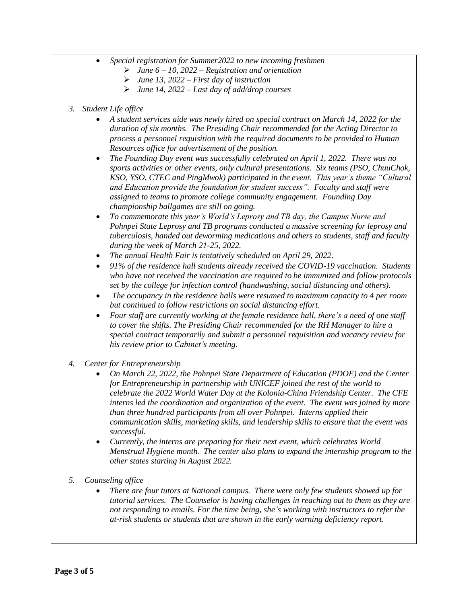- *Special registration for Summer2022 to new incoming freshmen* 
	- *June 6 – 10, 2022 – Registration and orientation*
	- *June 13, 2022 – First day of instruction*
	- *June 14, 2022 – Last day of add/drop courses*
- *3. Student Life office*
	- *A student services aide was newly hired on special contract on March 14, 2022 for the duration of six months. The Presiding Chair recommended for the Acting Director to process a personnel requisition with the required documents to be provided to Human Resources office for advertisement of the position.*
	- *The Founding Day event was successfully celebrated on April 1, 2022. There was no sports activities or other events, only cultural presentations. Six teams (PSO, ChuuChok, KSO, YSO, CTEC and PingMwok) participated in the event. This year's theme "Cultural and Education provide the foundation for student success". Faculty and staff were assigned to teams to promote college community engagement. Founding Day championship ballgames are still on going.*
	- *To commemorate this year's World's Leprosy and TB day, the Campus Nurse and Pohnpei State Leprosy and TB programs conducted a massive screening for leprosy and tuberculosis, handed out deworming medications and others to students, staff and faculty during the week of March 21-25, 2022.*
	- *The annual Health Fair is tentatively scheduled on April 29, 2022.*
	- *91% of the residence hall students already received the COVID-19 vaccination. Students who have not received the vaccination are required to be immunized and follow protocols set by the college for infection control (handwashing, social distancing and others).*
	- *The occupancy in the residence halls were resumed to maximum capacity to 4 per room but continued to follow restrictions on social distancing effort.*
	- *Four staff are currently working at the female residence hall, there's a need of one staff to cover the shifts. The Presiding Chair recommended for the RH Manager to hire a special contract temporarily and submit a personnel requisition and vacancy review for his review prior to Cabinet's meeting.*
- *4. Center for Entrepreneurship*
	- *On March 22, 2022, the Pohnpei State Department of Education (PDOE) and the Center for Entrepreneurship in partnership with UNICEF joined the rest of the world to celebrate the 2022 World Water Day at the Kolonia-China Friendship Center. The CFE interns led the coordination and organization of the event. The event was joined by more than three hundred participants from all over Pohnpei. Interns applied their communication skills, marketing skills, and leadership skills to ensure that the event was successful.*
	- *Currently, the interns are preparing for their next event, which celebrates World Menstrual Hygiene month. The center also plans to expand the internship program to the other states starting in August 2022.*
- *5. Counseling office*
	- *There are four tutors at National campus. There were only few students showed up for tutorial services. The Counselor is having challenges in reaching out to them as they are not responding to emails. For the time being, she's working with instructors to refer the at-risk students or students that are shown in the early warning deficiency report.*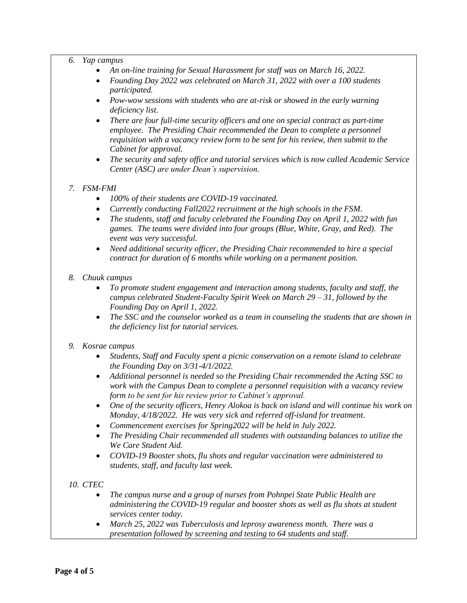#### *6. Yap campus*

- *An on-line training for Sexual Harassment for staff was on March 16, 2022.*
- *Founding Day 2022 was celebrated on March 31, 2022 with over a 100 students participated.*
- *Pow-wow sessions with students who are at-risk or showed in the early warning deficiency list.*
- *There are four full-time security officers and one on special contract as part-time employee. The Presiding Chair recommended the Dean to complete a personnel requisition with a vacancy review form to be sent for his review, then submit to the Cabinet for approval.*
- *The security and safety office and tutorial services which is now called Academic Service Center (ASC) are under Dean's supervision.*

## *7. FSM-FMI*

- *100% of their students are COVID-19 vaccinated.*
- *Currently conducting Fall2022 recruitment at the high schools in the FSM.*
- *The students, staff and faculty celebrated the Founding Day on April 1, 2022 with fun games. The teams were divided into four groups (Blue, White, Gray, and Red). The event was very successful.*
- *Need additional security officer, the Presiding Chair recommended to hire a special contract for duration of 6 months while working on a permanent position.*
- *8. Chuuk campus*
	- *To promote student engagement and interaction among students, faculty and staff, the campus celebrated Student-Faculty Spirit Week on March 29 – 31, followed by the Founding Day on April 1, 2022.*
	- *The SSC and the counselor worked as a team in counseling the students that are shown in the deficiency list for tutorial services.*

### *9. Kosrae campus*

- *Students, Staff and Faculty spent a picnic conservation on a remote island to celebrate the Founding Day on 3/31-4/1/2022.*
- *Additional personnel is needed so the Presiding Chair recommended the Acting SSC to work with the Campus Dean to complete a personnel requisition with a vacancy review form to be sent for his review prior to Cabinet's approval.*
- *One of the security officers, Henry Alokoa is back on island and will continue his work on Monday, 4/18/2022. He was very sick and referred off-island for treatment.*
- *Commencement exercises for Spring2022 will be held in July 2022.*
- *The Presiding Chair recommended all students with outstanding balances to utilize the We Care Student Aid.*
- *COVID-19 Booster shots, flu shots and regular vaccination were administered to students, staff, and faculty last week.*

### *10. CTEC*

- *The campus nurse and a group of nurses from Pohnpei State Public Health are administering the COVID-19 regular and booster shots as well as flu shots at student services center today.*
- *March 25, 2022 was Tuberculosis and leprosy awareness month. There was a presentation followed by screening and testing to 64 students and staff.*